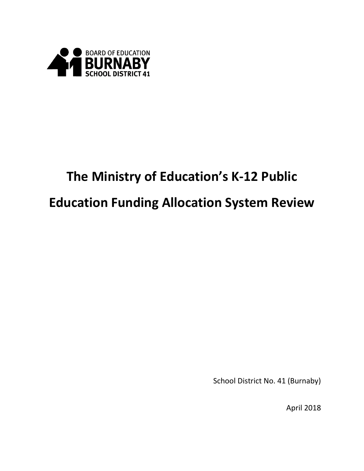

# **The Ministry of Education's K-12 Public Education Funding Allocation System Review**

School District No. 41 (Burnaby)

April 2018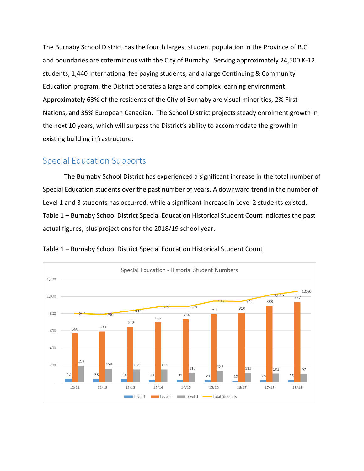The Burnaby School District has the fourth largest student population in the Province of B.C. and boundaries are coterminous with the City of Burnaby. Serving approximately 24,500 K-12 students, 1,440 International fee paying students, and a large Continuing & Community Education program, the District operates a large and complex learning environment. Approximately 63% of the residents of the City of Burnaby are visual minorities, 2% First Nations, and 35% European Canadian. The School District projects steady enrolment growth in the next 10 years, which will surpass the District's ability to accommodate the growth in existing building infrastructure.

# Special Education Supports

The Burnaby School District has experienced a significant increase in the total number of Special Education students over the past number of years. A downward trend in the number of Level 1 and 3 students has occurred, while a significant increase in Level 2 students existed. Table 1 – Burnaby School District Special Education Historical Student Count indicates the past actual figures, plus projections for the 2018/19 school year.



Table 1 – Burnaby School District Special Education Historical Student Count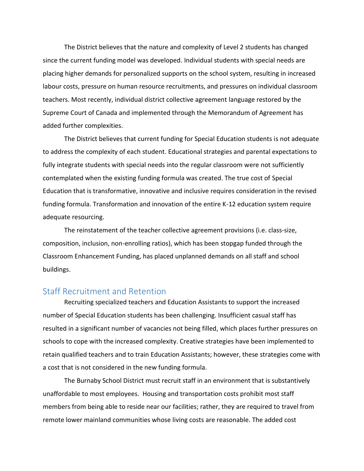The District believes that the nature and complexity of Level 2 students has changed since the current funding model was developed. Individual students with special needs are placing higher demands for personalized supports on the school system, resulting in increased labour costs, pressure on human resource recruitments, and pressures on individual classroom teachers. Most recently, individual district collective agreement language restored by the Supreme Court of Canada and implemented through the Memorandum of Agreement has added further complexities.

The District believes that current funding for Special Education students is not adequate to address the complexity of each student. Educational strategies and parental expectations to fully integrate students with special needs into the regular classroom were not sufficiently contemplated when the existing funding formula was created. The true cost of Special Education that is transformative, innovative and inclusive requires consideration in the revised funding formula. Transformation and innovation of the entire K-12 education system require adequate resourcing.

The reinstatement of the teacher collective agreement provisions (i.e. class-size, composition, inclusion, non-enrolling ratios), which has been stopgap funded through the Classroom Enhancement Funding, has placed unplanned demands on all staff and school buildings.

#### Staff Recruitment and Retention

Recruiting specialized teachers and Education Assistants to support the increased number of Special Education students has been challenging. Insufficient casual staff has resulted in a significant number of vacancies not being filled, which places further pressures on schools to cope with the increased complexity. Creative strategies have been implemented to retain qualified teachers and to train Education Assistants; however, these strategies come with a cost that is not considered in the new funding formula.

The Burnaby School District must recruit staff in an environment that is substantively unaffordable to most employees. Housing and transportation costs prohibit most staff members from being able to reside near our facilities; rather, they are required to travel from remote lower mainland communities whose living costs are reasonable. The added cost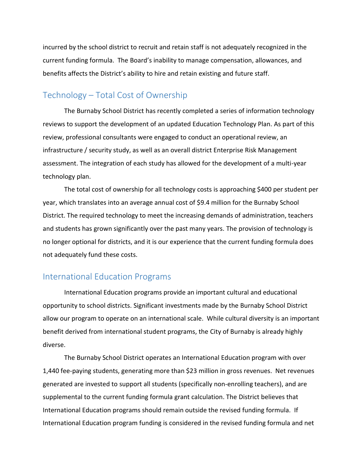incurred by the school district to recruit and retain staff is not adequately recognized in the current funding formula. The Board's inability to manage compensation, allowances, and benefits affects the District's ability to hire and retain existing and future staff.

### Technology – Total Cost of Ownership

The Burnaby School District has recently completed a series of information technology reviews to support the development of an updated Education Technology Plan. As part of this review, professional consultants were engaged to conduct an operational review, an infrastructure / security study, as well as an overall district Enterprise Risk Management assessment. The integration of each study has allowed for the development of a multi-year technology plan.

The total cost of ownership for all technology costs is approaching \$400 per student per year, which translates into an average annual cost of \$9.4 million for the Burnaby School District. The required technology to meet the increasing demands of administration, teachers and students has grown significantly over the past many years. The provision of technology is no longer optional for districts, and it is our experience that the current funding formula does not adequately fund these costs.

#### International Education Programs

International Education programs provide an important cultural and educational opportunity to school districts. Significant investments made by the Burnaby School District allow our program to operate on an international scale. While cultural diversity is an important benefit derived from international student programs, the City of Burnaby is already highly diverse.

The Burnaby School District operates an International Education program with over 1,440 fee-paying students, generating more than \$23 million in gross revenues. Net revenues generated are invested to support all students (specifically non-enrolling teachers), and are supplemental to the current funding formula grant calculation. The District believes that International Education programs should remain outside the revised funding formula. If International Education program funding is considered in the revised funding formula and net